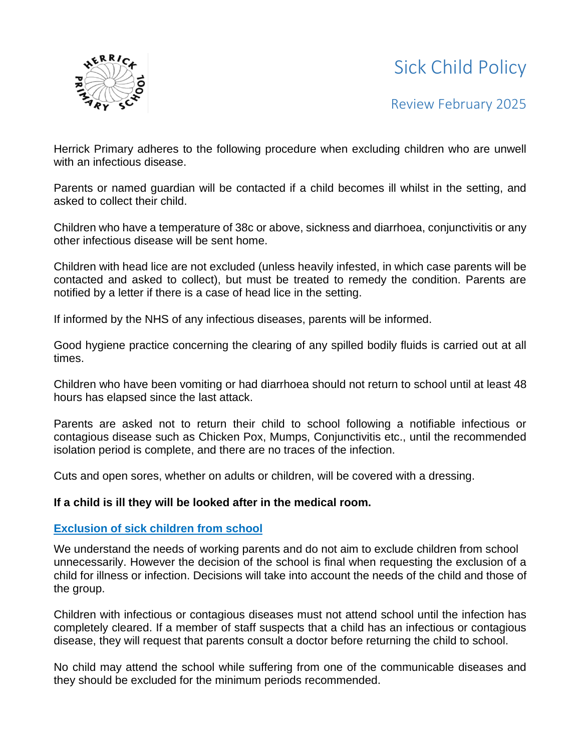# Sick Child Policy



## Review February 2025

Herrick Primary adheres to the following procedure when excluding children who are unwell with an infectious disease.

Parents or named guardian will be contacted if a child becomes ill whilst in the setting, and asked to collect their child.

Children who have a temperature of 38c or above, sickness and diarrhoea, conjunctivitis or any other infectious disease will be sent home.

Children with head lice are not excluded (unless heavily infested, in which case parents will be contacted and asked to collect), but must be treated to remedy the condition. Parents are notified by a letter if there is a case of head lice in the setting.

If informed by the NHS of any infectious diseases, parents will be informed.

Good hygiene practice concerning the clearing of any spilled bodily fluids is carried out at all times.

Children who have been vomiting or had diarrhoea should not return to school until at least 48 hours has elapsed since the last attack.

Parents are asked not to return their child to school following a notifiable infectious or contagious disease such as Chicken Pox, Mumps, Conjunctivitis etc., until the recommended isolation period is complete, and there are no traces of the infection.

Cuts and open sores, whether on adults or children, will be covered with a dressing.

#### **If a child is ill they will be looked after in the medical room.**

#### **Exclusion of sick children from school**

We understand the needs of working parents and do not aim to exclude children from school unnecessarily. However the decision of the school is final when requesting the exclusion of a child for illness or infection. Decisions will take into account the needs of the child and those of the group.

Children with infectious or contagious diseases must not attend school until the infection has completely cleared. If a member of staff suspects that a child has an infectious or contagious disease, they will request that parents consult a doctor before returning the child to school.

No child may attend the school while suffering from one of the communicable diseases and they should be excluded for the minimum periods recommended.